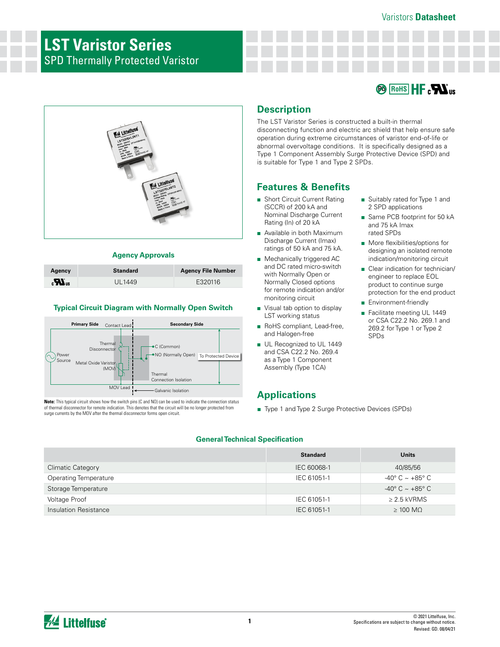## Varistors **Datasheet**

# **LST Varistor Series** SPD Thermally Protected Varistor





# **Agency Approvals**

| Agency                        | <b>Standard</b> | <b>Agency File Number</b> |
|-------------------------------|-----------------|---------------------------|
| $\boldsymbol{H}_{\text{out}}$ | UL1449          | E320116                   |

## **Typical Circuit Diagram with Normally Open Switch**



**Note:** This typical circuit shows how the switch pins (C and NO) can be used to indicate the connection status of thermal disconnector for remote indication. This denotes that the circuit will be no longer protected from surge currents by the MOV after the thermal disconnector forms open circuit.

# **Description**

The LST Varistor Series is constructed a built-in thermal disconnecting function and electric arc shield that help ensure safe operation during extreme circumstances of varistor end-of-life or abnormal overvoltage conditions. It is specifically designed as a Type 1 Component Assembly Surge Protective Device (SPD) and is suitable for Type 1 and Type 2 SPDs.

# **Features & Benefits**

- Short Circuit Current Rating (SCCR) of 200 kA and Nominal Discharge Current Rating (In) of 20 kA
- Available in both Maximum Discharge Current (Imax) ratings of 50 kA and 75 kA.
- Mechanically triggered AC and DC rated micro-switch with Normally Open or Normally Closed options for remote indication and/or monitoring circuit
- Visual tab option to display LST working status
- RoHS compliant, Lead-free, and Halogen-free
- UL Recognized to UL 1449 and CSA C22.2 No. 269.4 as a Type 1 Component Assembly (Type 1CA)

# **Applications**

■ Type 1 and Type 2 Surge Protective Devices (SPDs)

### **General Technical Specification**

|                              | <b>Standard</b> | <b>Units</b>                         |
|------------------------------|-----------------|--------------------------------------|
| Climatic Category            | IEC 60068-1     | 40/85/56                             |
| <b>Operating Temperature</b> | IEC 61051-1     | $-40^{\circ}$ C $\sim +85^{\circ}$ C |
| Storage Temperature          |                 | $-40^{\circ}$ C $\sim +85^{\circ}$ C |
| Voltage Proof                | IEC 61051-1     | $\geq$ 2.5 kVRMS                     |
| Insulation Resistance        | IEC 61051-1     | $\geq 100$ MO                        |



## ■ Suitably rated for Type 1 and 2 SPD applications ■ Same PCB footprint for 50 kA

- and 75 kA Imax rated SPDs
- More flexibilities/options for designing an isolated remote indication/monitoring circuit
- Clear indication for technician/ engineer to replace EOL product to continue surge protection for the end product
- Environment-friendly
- Facilitate meeting UL 1449 or CSA C22.2 No. 269.1 and 269.2 for Type 1 or Type 2 SPDs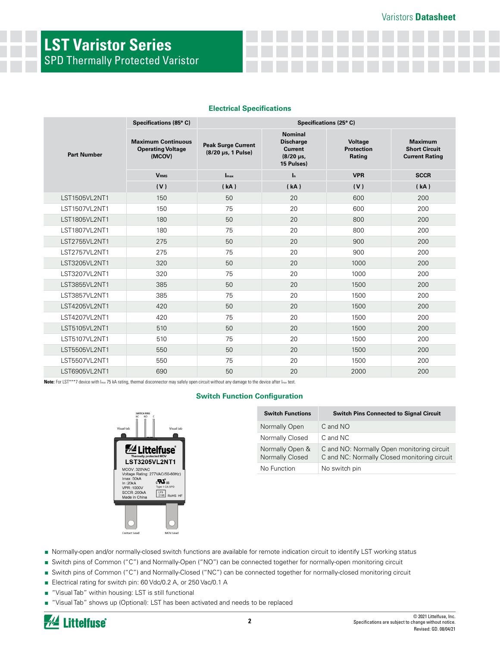# **LST Varistor Series** SPD Thermally Protected Varistor

|                    | Specifications (85°C)                                           | Specifications (25°C)                           |                                                                                        |                                        |                                                                 |
|--------------------|-----------------------------------------------------------------|-------------------------------------------------|----------------------------------------------------------------------------------------|----------------------------------------|-----------------------------------------------------------------|
| <b>Part Number</b> | <b>Maximum Continuous</b><br><b>Operating Voltage</b><br>(MCOV) | <b>Peak Surge Current</b><br>(8/20 µs, 1 Pulse) | <b>Nominal</b><br><b>Discharge</b><br><b>Current</b><br>$(8/20 \,\mu s)$<br>15 Pulses) | Voltage<br><b>Protection</b><br>Rating | <b>Maximum</b><br><b>Short Circuit</b><br><b>Current Rating</b> |
|                    | <b>V<sub>RMS</sub></b>                                          | $\mathbf{I}_{\text{max}}$                       | $\mathbf{I}_{n}$                                                                       | <b>VPR</b>                             | <b>SCCR</b>                                                     |
|                    | (V)                                                             | (kA)                                            | (kA)                                                                                   | (V)                                    | (kA)                                                            |
| LST1505VL2NT1      | 150                                                             | 50                                              | 20                                                                                     | 600                                    | 200                                                             |
| LST1507VL2NT1      | 150                                                             | 75                                              | 20                                                                                     | 600                                    | 200                                                             |
| LST1805VL2NT1      | 180                                                             | 50                                              | 20                                                                                     | 800                                    | 200                                                             |
| LST1807VL2NT1      | 180                                                             | 75                                              | 20                                                                                     | 800                                    | 200                                                             |
| LST2755VL2NT1      | 275                                                             | 50                                              | 20                                                                                     | 900                                    | 200                                                             |
| LST2757VL2NT1      | 275                                                             | 75                                              | 20                                                                                     | 900                                    | 200                                                             |
| LST3205VL2NT1      | 320                                                             | 50                                              | 20                                                                                     | 1000                                   | 200                                                             |
| LST3207VL2NT1      | 320                                                             | 75                                              | 20                                                                                     | 1000                                   | 200                                                             |
| LST3855VL2NT1      | 385                                                             | 50                                              | 20                                                                                     | 1500                                   | 200                                                             |
| LST3857VL2NT1      | 385                                                             | 75                                              | 20                                                                                     | 1500                                   | 200                                                             |
| LST4205VL2NT1      | 420                                                             | 50                                              | 20                                                                                     | 1500                                   | 200                                                             |
| LST4207VL2NT1      | 420                                                             | 75                                              | 20                                                                                     | 1500                                   | 200                                                             |
| LST5105VL2NT1      | 510                                                             | 50                                              | 20                                                                                     | 1500                                   | 200                                                             |
| LST5107VL2NT1      | 510                                                             | 75                                              | 20                                                                                     | 1500                                   | 200                                                             |
| LST5505VL2NT1      | 550                                                             | 50                                              | 20                                                                                     | 1500                                   | 200                                                             |
| LST5507VL2NT1      | 550                                                             | 75                                              | 20                                                                                     | 1500                                   | 200                                                             |
| LST6905VL2NT1      | 690                                                             | 50                                              | 20                                                                                     | 2000                                   | 200                                                             |

### **Electrical Specifications**

Note: For LST<sup>\*\*\*</sup>7 device with Imax 75 kA rating, thermal disconnector may safely open circuit without any damage to the device after Imax test.

#### **Switch Function Configuration**



| <b>Switch Functions</b>            | <b>Switch Pins Connected to Signal Circuit</b>                                             |
|------------------------------------|--------------------------------------------------------------------------------------------|
| Normally Open                      | C and NO                                                                                   |
| Normally Closed                    | C and NC                                                                                   |
| Normally Open &<br>Normally Closed | C and NO: Normally Open monitoring circuit<br>C and NC: Normally Closed monitoring circuit |
| No Function                        | No switch pin                                                                              |

- Normally-open and/or normally-closed switch functions are available for remote indication circuit to identify LST working status
- Switch pins of Common ("C") and Normally-Open ("NO") can be connected together for normally-open monitoring circuit
- Switch pins of Common ("C") and Normally-Closed ("NC") can be connected together for normally-closed monitoring circuit
- Electrical rating for switch pin: 60 Vdc/0.2 A, or 250 Vac/0.1 A
- "Visual Tab" within housing: LST is still functional
- "Visual Tab" shows up (Optional): LST has been activated and needs to be replaced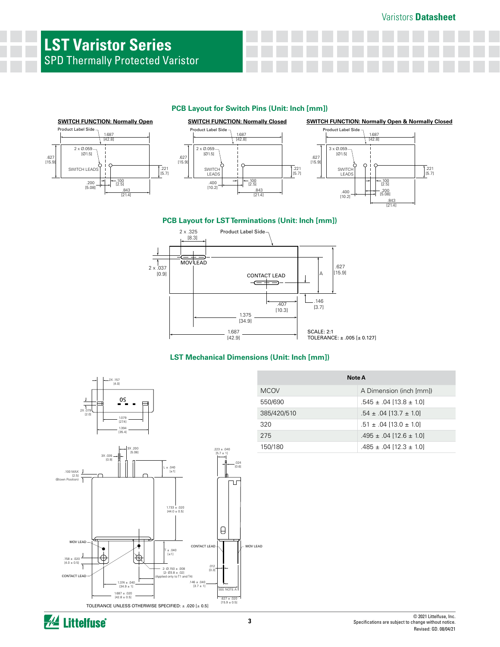# **LST Varistor Series** SPD Thermally Protected Varistor

## **PCB Layout for Switch Pins (Unit: Inch [mm])**







**PCB Layout for LST Terminations (Unit: Inch [mm])**



### **LST Mechanical Dimensions (Unit: Inch [mm])**



| Note A      |                                 |  |
|-------------|---------------------------------|--|
| <b>MCOV</b> | A Dimension (inch [mm])         |  |
| 550/690     | $.545 \pm .04$ [13.8 $\pm$ 1.0] |  |
| 385/420/510 | $.54 \pm .04$ [13.7 $\pm$ 1.0]  |  |
| 320         | $.51 \pm .04$ [13.0 $\pm$ 1.0]  |  |
| 275         | $.495 \pm .04$ [12.6 $\pm$ 1.0] |  |
| 150/180     | $.485 \pm .04$ [12.3 $\pm$ 1.0] |  |